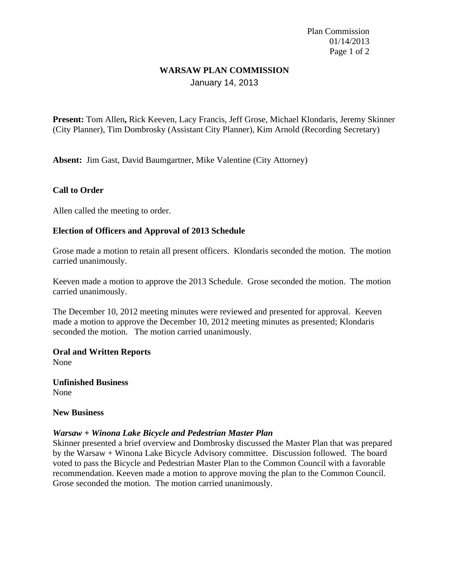Plan Commission 01/14/2013 Page 1 of 2

# **WARSAW PLAN COMMISSION**

January 14, 2013

**Present:** Tom Allen**,** Rick Keeven, Lacy Francis, Jeff Grose, Michael Klondaris, Jeremy Skinner (City Planner), Tim Dombrosky (Assistant City Planner), Kim Arnold (Recording Secretary)

**Absent:** Jim Gast, David Baumgartner, Mike Valentine (City Attorney)

# **Call to Order**

Allen called the meeting to order.

## **Election of Officers and Approval of 2013 Schedule**

Grose made a motion to retain all present officers. Klondaris seconded the motion. The motion carried unanimously.

Keeven made a motion to approve the 2013 Schedule. Grose seconded the motion. The motion carried unanimously.

The December 10, 2012 meeting minutes were reviewed and presented for approval. Keeven made a motion to approve the December 10, 2012 meeting minutes as presented; Klondaris seconded the motion. The motion carried unanimously.

**Oral and Written Reports** None

**Unfinished Business** None

#### **New Business**

## *Warsaw + Winona Lake Bicycle and Pedestrian Master Plan*

Skinner presented a brief overview and Dombrosky discussed the Master Plan that was prepared by the Warsaw + Winona Lake Bicycle Advisory committee. Discussion followed. The board voted to pass the Bicycle and Pedestrian Master Plan to the Common Council with a favorable recommendation. Keeven made a motion to approve moving the plan to the Common Council. Grose seconded the motion. The motion carried unanimously.